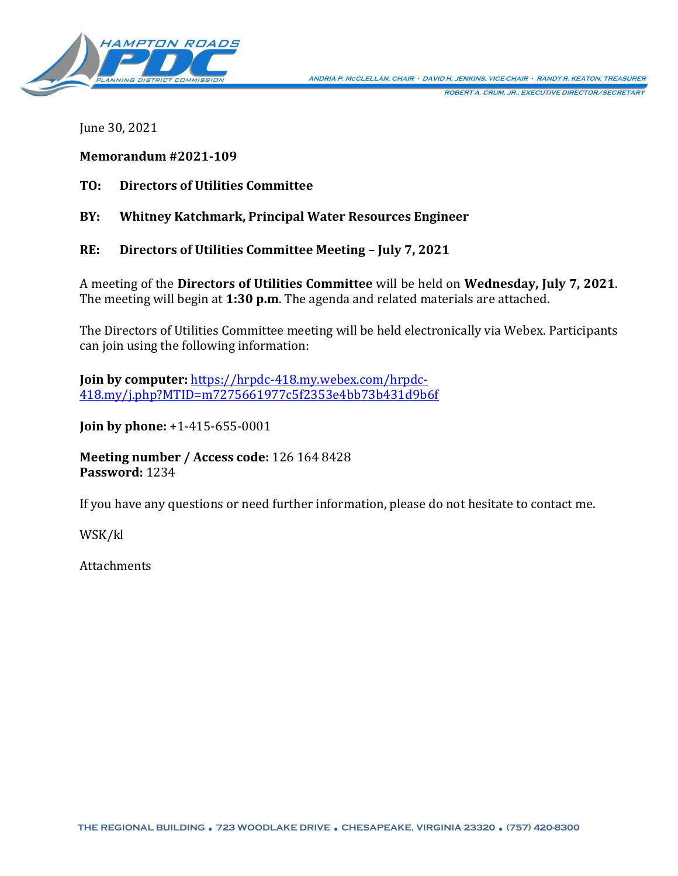

June 30, 2021

### **Memorandum #2021-109**

**TO: Directors of Utilities Committee**

**BY: Whitney Katchmark, Principal Water Resources Engineer**

**RE: Directors of Utilities Committee Meeting – July 7, 2021**

A meeting of the **Directors of Utilities Committee** will be held on **Wednesday, July 7, 2021**. The meeting will begin at **1:30 p.m**. The agenda and related materials are attached.

The Directors of Utilities Committee meeting will be held electronically via Webex. Participants can join using the following information:

**Join by computer:** [https://hrpdc-418.my.webex.com/hrpdc-](https://hrpdc-418.my.webex.com/hrpdc-418.my/j.php?MTID=m7275661977c5f2353e4bb73b431d9b6f)[418.my/j.php?MTID=m7275661977c5f2353e4bb73b431d9b6f](https://hrpdc-418.my.webex.com/hrpdc-418.my/j.php?MTID=m7275661977c5f2353e4bb73b431d9b6f)

**Join by phone:** +1-415-655-0001

**Meeting number / Access code:** 126 164 8428 **Password:** 1234

If you have any questions or need further information, please do not hesitate to contact me.

WSK/kl

Attachments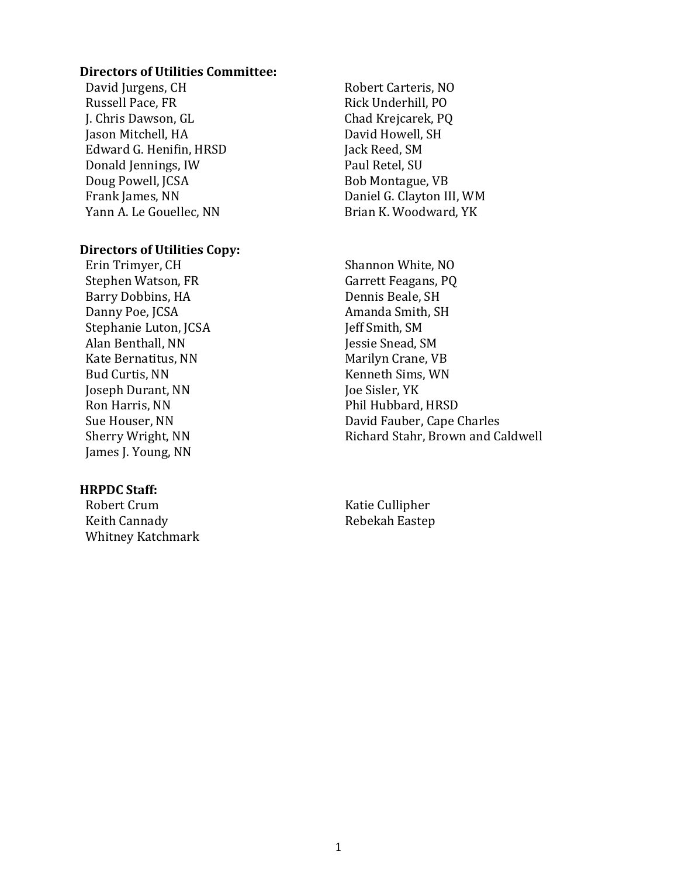#### **Directors of Utilities Committee:**

David Jurgens, CH Russell Pace, FR J. Chris Dawson, GL Jason Mitchell, HA Edward G. Henifin, HRSD Donald Jennings, IW Doug Powell, JCSA Frank James, NN Yann A. Le Gouellec, NN

#### **Directors of Utilities Copy:**

Erin Trimyer, CH Stephen Watson, FR Barry Dobbins, HA Danny Poe, JCSA Stephanie Luton, JCSA Alan Benthall, NN Kate Bernatitus, NN Bud Curtis, NN Joseph Durant, NN Ron Harris, NN Sue Houser, NN Sherry Wright, NN James J. Young, NN

#### **HRPDC Staff:**

Robert Crum Keith Cannady Whitney Katchmark

Robert Carteris, NO Rick Underhill, PO Chad Krejcarek, PQ David Howell, SH Jack Reed, SM Paul Retel, SU Bob Montague, VB Daniel G. Clayton III, WM Brian K. Woodward, YK

Shannon White, NO Garrett Feagans, PQ Dennis Beale, SH Amanda Smith, SH Jeff Smith, SM Jessie Snead, SM Marilyn Crane, VB Kenneth Sims, WN Joe Sisler, YK Phil Hubbard, HRSD David Fauber, Cape Charles Richard Stahr, Brown and Caldwell

Katie Cullipher Rebekah Eastep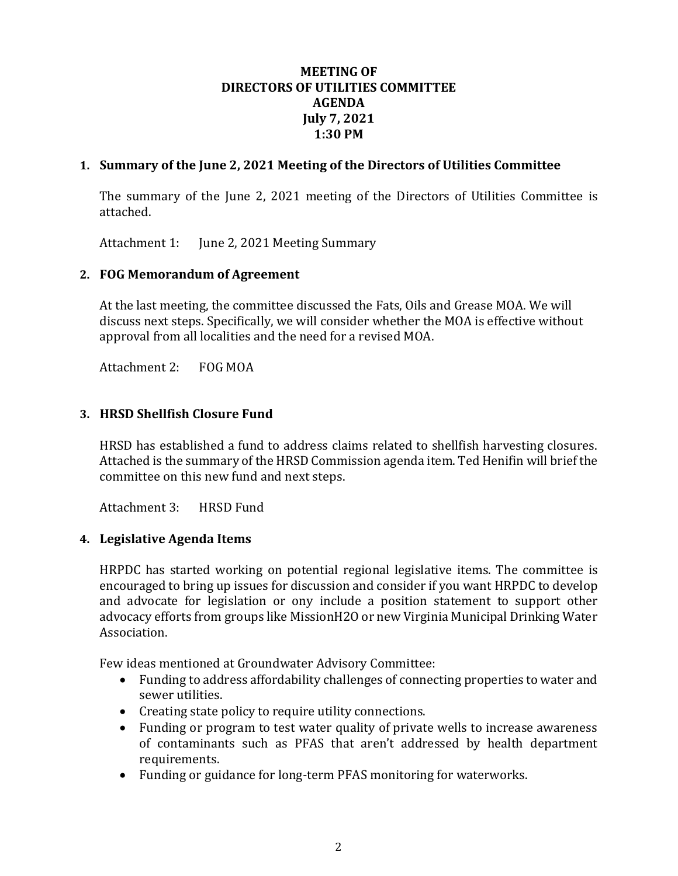### **MEETING OF DIRECTORS OF UTILITIES COMMITTEE AGENDA July 7, 2021 1:30 PM**

## **1. Summary of the June 2, 2021 Meeting of the Directors of Utilities Committee**

The summary of the June 2, 2021 meeting of the Directors of Utilities Committee is attached.

Attachment 1: June 2, 2021 Meeting Summary

## **2. FOG Memorandum of Agreement**

At the last meeting, the committee discussed the Fats, Oils and Grease MOA. We will discuss next steps. Specifically, we will consider whether the MOA is effective without approval from all localities and the need for a revised MOA.

Attachment 2: FOG MOA

## **3. HRSD Shellfish Closure Fund**

HRSD has established a fund to address claims related to shellfish harvesting closures. Attached is the summary of the HRSD Commission agenda item. Ted Henifin will brief the committee on this new fund and next steps.

Attachment 3: HRSD Fund

## **4. Legislative Agenda Items**

HRPDC has started working on potential regional legislative items. The committee is encouraged to bring up issues for discussion and consider if you want HRPDC to develop and advocate for legislation or ony include a position statement to support other advocacy efforts from groups like MissionH2O or new Virginia Municipal Drinking Water Association.

Few ideas mentioned at Groundwater Advisory Committee:

- Funding to address affordability challenges of connecting properties to water and sewer utilities.
- Creating state policy to require utility connections.
- Funding or program to test water quality of private wells to increase awareness of contaminants such as PFAS that aren't addressed by health department requirements.
- Funding or guidance for long-term PFAS monitoring for waterworks.